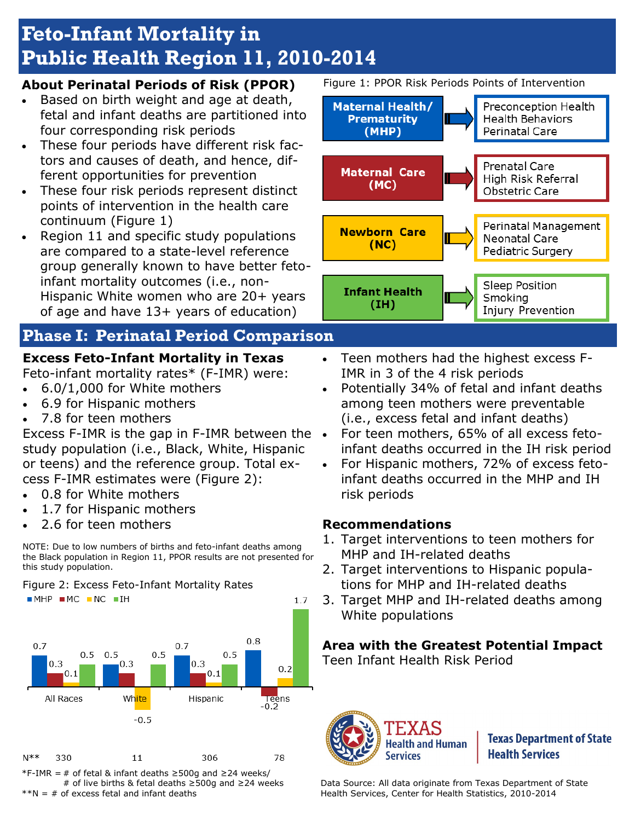# **Feto-Infant Mortality in Public Health Region 11, 2010-2014**

## **About Perinatal Periods of Risk (PPOR)**

- Based on birth weight and age at death, fetal and infant deaths are partitioned into four corresponding risk periods
- These four periods have different risk factors and causes of death, and hence, different opportunities for prevention
- These four risk periods represent distinct points of intervention in the health care continuum (Figure 1)
- Region 11 and specific study populations are compared to a state-level reference group generally known to have better fetoinfant mortality outcomes (i.e., non-Hispanic White women who are 20+ years of age and have 13+ years of education)

## **Phase I: Perinatal Period Comparison**

## **Excess Feto-Infant Mortality in Texas**

Feto-infant mortality rates\* (F-IMR) were:

- 6.0/1,000 for White mothers
- 6.9 for Hispanic mothers
- 7.8 for teen mothers

Excess F-IMR is the gap in F-IMR between the study population (i.e., Black, White, Hispanic or teens) and the reference group. Total excess F-IMR estimates were (Figure 2):

- 0.8 for White mothers
- 1.7 for Hispanic mothers
- 2.6 for teen mothers



Figure 2: Excess Feto-Infant Mortality Rates



\*F-IMR = # of fetal & infant deaths ≥500g and ≥24 weeks/ # of live births & fetal deaths ≥500g and ≥24 weeks  $*N = #$  of excess fetal and infant deaths

Figure 1: PPOR Risk Periods Points of Intervention



 Teen mothers had the highest excess F-IMR in 3 of the 4 risk periods

- Potentially 34% of fetal and infant deaths among teen mothers were preventable (i.e., excess fetal and infant deaths)
- For teen mothers, 65% of all excess fetoinfant deaths occurred in the IH risk period
- For Hispanic mothers, 72% of excess fetoinfant deaths occurred in the MHP and IH risk periods

## **Recommendations**

- 1. Target interventions to teen mothers for MHP and IH-related deaths
- 2. Target interventions to Hispanic populations for MHP and IH-related deaths
- 3. Target MHP and IH-related deaths among White populations

## **Area with the Greatest Potential Impact**

Teen Infant Health Risk Period



**Texas Department of State Health Services** 

Data Source: All data originate from Texas Department of State Health Services, Center for Health Statistics, 2010-2014